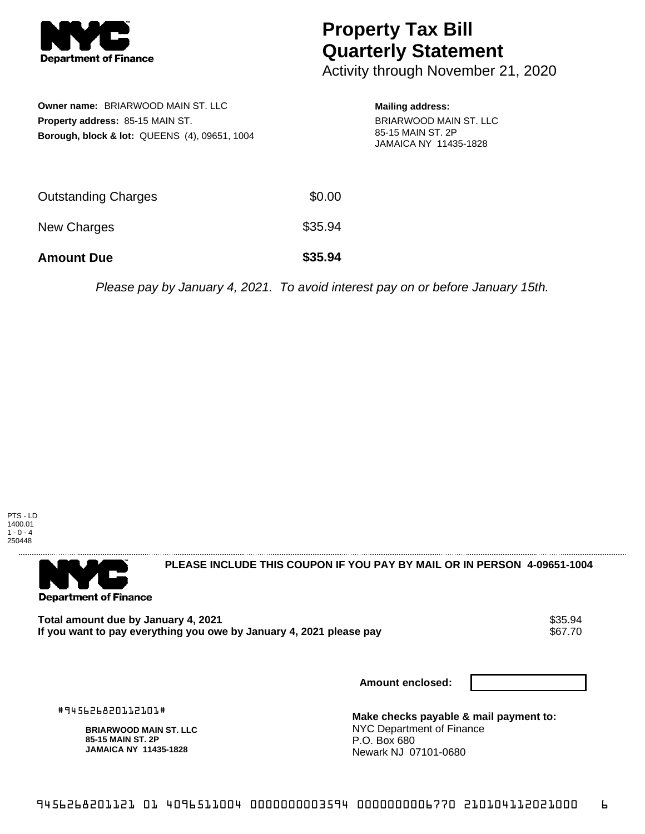

## **Property Tax Bill Quarterly Statement**

Activity through November 21, 2020

| Owner name: BRIARWOOD MAIN ST. LLC<br><b>Property address: 85-15 MAIN ST.</b><br><b>Borough, block &amp; lot: QUEENS (4), 09651, 1004</b> |         | <b>Mailing address:</b><br>BRIARWOOD MAIN ST. LLC<br>85-15 MAIN ST, 2P<br><b>JAMAICA NY 11435-1828</b> |
|-------------------------------------------------------------------------------------------------------------------------------------------|---------|--------------------------------------------------------------------------------------------------------|
| Outstanding Charges                                                                                                                       | \$0.00  |                                                                                                        |
| <b>New Charges</b>                                                                                                                        | \$35.94 |                                                                                                        |
| <b>Amount Due</b>                                                                                                                         | \$35.94 |                                                                                                        |

Please pay by January 4, 2021. To avoid interest pay on or before January 15th.



**Department of Finance** 

**PLEASE INCLUDE THIS COUPON IF YOU PAY BY MAIL OR IN PERSON 4-09651-1004** 

Total amount due by January 4, 2021<br>If you want to pay everything you owe by January 4, 2021 please pay **show that the seam of the seam of the se**67.70 If you want to pay everything you owe by January 4, 2021 please pay

**Amount enclosed:**

#945626820112101#

**BRIARWOOD MAIN ST. LLC 85-15 MAIN ST. 2P JAMAICA NY 11435-1828**

**Make checks payable & mail payment to:** NYC Department of Finance P.O. Box 680 Newark NJ 07101-0680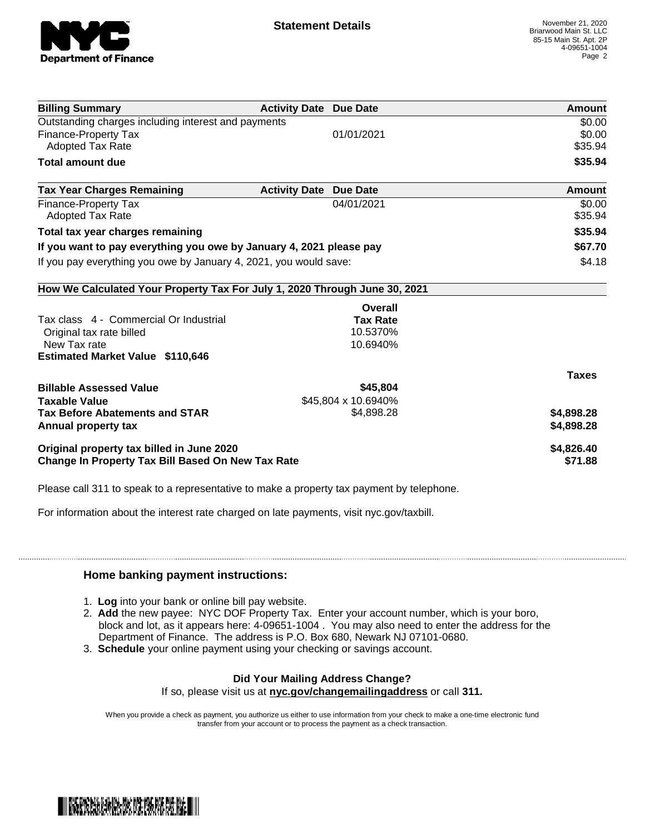

| <b>Billing Summary</b>                                                     | <b>Activity Date Due Date</b>           | Amount       |
|----------------------------------------------------------------------------|-----------------------------------------|--------------|
| Outstanding charges including interest and payments                        |                                         | \$0.00       |
| <b>Finance-Property Tax</b>                                                | 01/01/2021                              | \$0.00       |
| <b>Adopted Tax Rate</b>                                                    |                                         | \$35.94      |
| <b>Total amount due</b>                                                    |                                         | \$35.94      |
| <b>Tax Year Charges Remaining</b>                                          | <b>Activity Date</b><br><b>Due Date</b> | Amount       |
| <b>Finance-Property Tax</b>                                                | 04/01/2021                              | \$0.00       |
| Adopted Tax Rate                                                           |                                         | \$35.94      |
| Total tax year charges remaining                                           |                                         | \$35.94      |
| If you want to pay everything you owe by January 4, 2021 please pay        |                                         | \$67.70      |
| If you pay everything you owe by January 4, 2021, you would save:          |                                         | \$4.18       |
| How We Calculated Your Property Tax For July 1, 2020 Through June 30, 2021 |                                         |              |
|                                                                            | Overall                                 |              |
| Tax class 4 - Commercial Or Industrial                                     | <b>Tax Rate</b>                         |              |
| Original tax rate billed                                                   | 10.5370%                                |              |
| New Tax rate                                                               | 10.6940%                                |              |
| <b>Estimated Market Value \$110,646</b>                                    |                                         |              |
|                                                                            |                                         | <b>Taxes</b> |
| <b>Billable Assessed Value</b>                                             | \$45,804                                |              |
| <b>Taxable Value</b>                                                       | \$45,804 x 10.6940%                     |              |
| <b>Tax Before Abatements and STAR</b>                                      | \$4,898.28                              | \$4,898.28   |
| Annual property tax                                                        |                                         | \$4,898.28   |
| Original property tax billed in June 2020                                  |                                         | \$4,826.40   |
| <b>Change In Property Tax Bill Based On New Tax Rate</b>                   |                                         | \$71.88      |

Please call 311 to speak to a representative to make a property tax payment by telephone.

For information about the interest rate charged on late payments, visit nyc.gov/taxbill.

## **Home banking payment instructions:**

- 1. **Log** into your bank or online bill pay website.
- 2. **Add** the new payee: NYC DOF Property Tax. Enter your account number, which is your boro, block and lot, as it appears here: 4-09651-1004 . You may also need to enter the address for the Department of Finance. The address is P.O. Box 680, Newark NJ 07101-0680.
- 3. **Schedule** your online payment using your checking or savings account.

## **Did Your Mailing Address Change?**

If so, please visit us at **nyc.gov/changemailingaddress** or call **311.**

When you provide a check as payment, you authorize us either to use information from your check to make a one-time electronic fund transfer from your account or to process the payment as a check transaction.